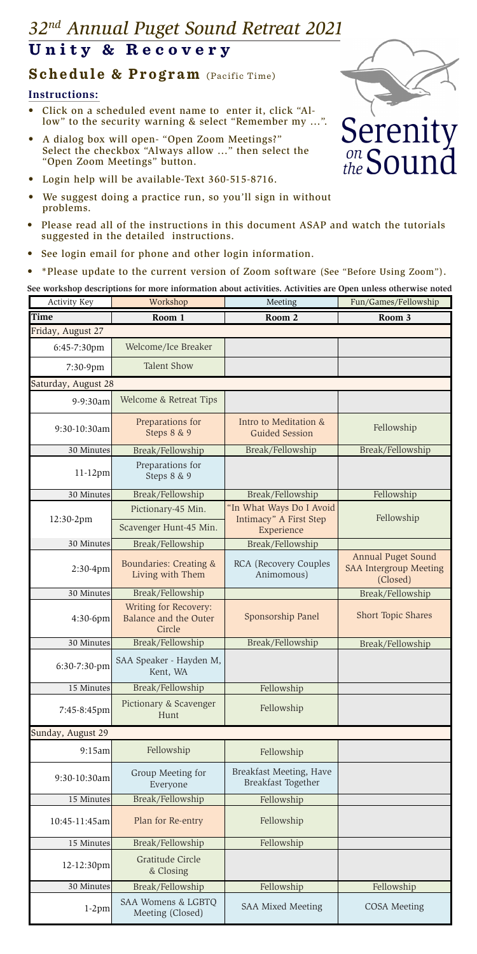# *32nd Annual Puget Sound Retreat 2021* **U n i t y & R e c o v e r y**

# Schedule & Program (Pacific Time)

- • Click on a scheduled event name to enter it, click "Allow" to the security warning & select "Remember my ...".
- • A dialog box will open- "Open Zoom Meetings?" Select the checkbox "Always allow ..." then select the "Open Zoom Meetings" button.
- Login help will be available-Text 360-515-8716.
- We suggest doing a practice run, so you'll sign in without problems.
- Please read all of the instructions in this document ASAP and watch the tutorials suggested in the detailed instructions.
- • See login email for phone and other login information.
- \* Please update to the current version of Zoom software (See "Before Using Zoom").

# **Instructions:**

**See workshop descriptions for more information about activities. Activities are Open unless otherwise noted**

| Activity Key        | Workshop                                                        | Meeting                                            | Fun/Games/Fellowship                                                   |
|---------------------|-----------------------------------------------------------------|----------------------------------------------------|------------------------------------------------------------------------|
| Time                | Room 1                                                          | Room 2                                             | Room 3                                                                 |
| Friday, August 27   |                                                                 |                                                    |                                                                        |
| 6:45-7:30pm         | Welcome/Ice Breaker                                             |                                                    |                                                                        |
| 7:30-9pm            | <b>Talent Show</b>                                              |                                                    |                                                                        |
| Saturday, August 28 |                                                                 |                                                    |                                                                        |
| 9-9:30am            | Welcome & Retreat Tips                                          |                                                    |                                                                        |
| 9:30-10:30am        | Preparations for<br>Steps 8 & 9                                 | Intro to Meditation &<br><b>Guided Session</b>     | Fellowship                                                             |
| 30 Minutes          | Break/Fellowship                                                | Break/Fellowship                                   | Break/Fellowship                                                       |
| $11-12$ pm          | Preparations for<br>Steps 8 & 9                                 |                                                    |                                                                        |
| 30 Minutes          | Break/Fellowship                                                | Break/Fellowship                                   | Fellowship                                                             |
| 12:30-2pm           | Pictionary-45 Min.                                              | "In What Ways Do I Avoid<br>Intimacy" A First Step | Fellowship                                                             |
|                     | Scavenger Hunt-45 Min.                                          | Experience                                         |                                                                        |
| 30 Minutes          | Break/Fellowship                                                | Break/Fellowship                                   |                                                                        |
| 2:30-4pm            | Boundaries: Creating &<br>Living with Them                      | <b>RCA</b> (Recovery Couples<br>Animomous)         | <b>Annual Puget Sound</b><br><b>SAA Intergroup Meeting</b><br>(Closed) |
| 30 Minutes          | Break/Fellowship                                                |                                                    | Break/Fellowship                                                       |
| $4:30-6$ pm         | Writing for Recovery:<br><b>Balance and the Outer</b><br>Circle | Sponsorship Panel                                  | Short Topic Shares                                                     |
| 30 Minutes          | Break/Fellowship                                                | Break/Fellowship                                   | Break/Fellowship                                                       |
| 6:30-7:30-pm        | SAA Speaker - Hayden M,<br>Kent, WA                             |                                                    |                                                                        |
| 15 Minutes          | Break/Fellowship                                                | Fellowship                                         |                                                                        |
| 7:45-8:45pm         | Pictionary & Scavenger<br>Hunt                                  | Fellowship                                         |                                                                        |
| Sunday, August 29   |                                                                 |                                                    |                                                                        |
| 9:15am              | Fellowship                                                      | Fellowship                                         |                                                                        |
| 9:30-10:30am        | Group Meeting for<br>Everyone                                   | Breakfast Meeting, Have<br>Breakfast Together      |                                                                        |
| 15 Minutes          | Break/Fellowship                                                | Fellowship                                         |                                                                        |
| 10:45-11:45am       | Plan for Re-entry                                               | Fellowship                                         |                                                                        |
| 15 Minutes          | Break/Fellowship                                                | Fellowship                                         |                                                                        |
| 12-12:30pm          | Gratitude Circle<br>& Closing                                   |                                                    |                                                                        |
| 30 Minutes          | Break/Fellowship                                                | Fellowship                                         | Fellowship                                                             |
| $1-2pm$             | SAA Womens & LGBTQ<br>Meeting (Closed)                          | <b>SAA Mixed Meeting</b>                           | <b>COSA Meeting</b>                                                    |

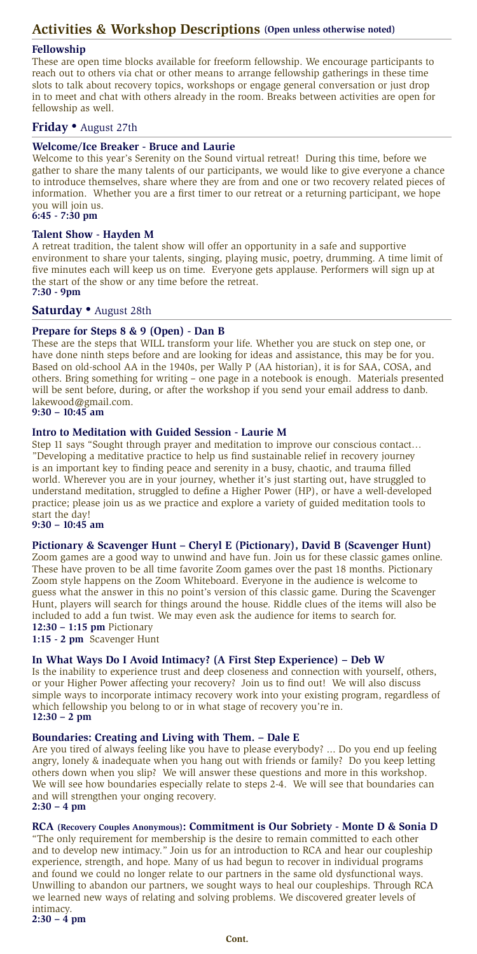## **Fellowship**

These are open time blocks available for freeform fellowship. We encourage participants to reach out to others via chat or other means to arrange fellowship gatherings in these time slots to talk about recovery topics, workshops or engage general conversation or just drop in to meet and chat with others already in the room. Breaks between activities are open for fellowship as well.

# **Friday** • August 27th

## **Welcome/Ice Breaker - Bruce and Laurie**

Welcome to this year's Serenity on the Sound virtual retreat! During this time, before we gather to share the many talents of our participants, we would like to give everyone a chance to introduce themselves, share where they are from and one or two recovery related pieces of information. Whether you are a first timer to our retreat or a returning participant, we hope you will join us. **6:45 - 7:30 pm**

### **Talent Show - Hayden M**

A retreat tradition, the talent show will offer an opportunity in a safe and supportive environment to share your talents, singing, playing music, poetry, drumming. A time limit of five minutes each will keep us on time. Everyone gets applause. Performers will sign up at the start of the show or any time before the retreat. **7:30 - 9pm**

# **Saturday** • August 28th

# **Prepare for Steps 8 & 9 (Open) - Dan B**

These are the steps that WILL transform your life. Whether you are stuck on step one, or have done ninth steps before and are looking for ideas and assistance, this may be for you. Based on old-school AA in the 1940s, per Wally P (AA historian), it is for SAA, COSA, and others. Bring something for writing – one page in a notebook is enough. Materials presented will be sent before, during, or after the workshop if you send your email address to danb. lakewood@gmail.com.

#### **9:30 – 10:45 am**

# **Intro to Meditation with Guided Session - Laurie M**

Step 11 says "Sought through prayer and meditation to improve our conscious contact… "Developing a meditative practice to help us find sustainable relief in recovery journey is an important key to finding peace and serenity in a busy, chaotic, and trauma filled world. Wherever you are in your journey, whether it's just starting out, have struggled to understand meditation, struggled to define a Higher Power (HP), or have a well-developed practice; please join us as we practice and explore a variety of guided meditation tools to start the day!

#### **9:30 – 10:45 am**

# **Pictionary & Scavenger Hunt – Cheryl E (Pictionary), David B (Scavenger Hunt)**

Zoom games are a good way to unwind and have fun. Join us for these classic games online. These have proven to be all time favorite Zoom games over the past 18 months. Pictionary Zoom style happens on the Zoom Whiteboard. Everyone in the audience is welcome to guess what the answer in this no point's version of this classic game. During the Scavenger Hunt, players will search for things around the house. Riddle clues of the items will also be included to add a fun twist. We may even ask the audience for items to search for.

# **12:30 – 1:15 pm** Pictionary

**1:15 - 2 pm** Scavenger Hunt

# **In What Ways Do I Avoid Intimacy? (A First Step Experience) – Deb W**

Is the inability to experience trust and deep closeness and connection with yourself, others, or your Higher Power affecting your recovery? Join us to find out! We will also discuss simple ways to incorporate intimacy recovery work into your existing program, regardless of

#### which fellowship you belong to or in what stage of recovery you're in. **12:30 – 2 pm**

### **Boundaries: Creating and Living with Them. – Dale E**

Are you tired of always feeling like you have to please everybody? ... Do you end up feeling angry, lonely & inadequate when you hang out with friends or family? Do you keep letting others down when you slip? We will answer these questions and more in this workshop. We will see how boundaries especially relate to steps 2-4. We will see that boundaries can and will strengthen your onging recovery.

**2:30 – 4 pm** 

**RCA (Recovery Couples Anonymous): Commitment is Our Sobriety - Monte D & Sonia D**  "The only requirement for membership is the desire to remain committed to each other and to develop new intimacy." Join us for an introduction to RCA and hear our coupleship experience, strength, and hope. Many of us had begun to recover in individual programs and found we could no longer relate to our partners in the same old dysfunctional ways. Unwilling to abandon our partners, we sought ways to heal our coupleships. Through RCA we learned new ways of relating and solving problems. We discovered greater levels of intimacy. **2:30 – 4 pm**

# **Activities & Workshop Descriptions (Open unless otherwise noted)**